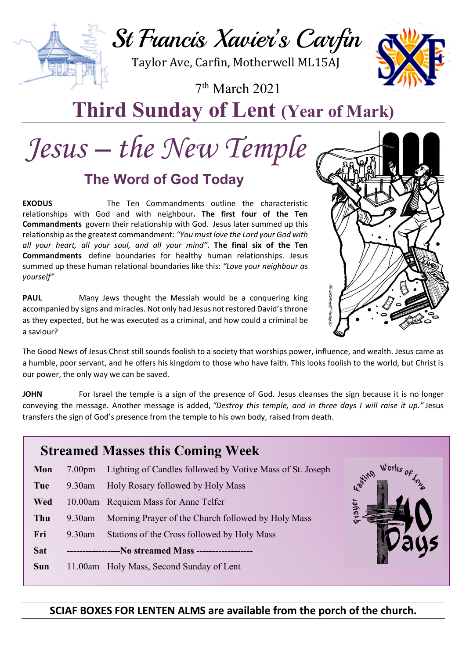St Francis Xavier's Carfin

Taylor Ave, Carfin, Motherwell ML15AJ

7th March 2021



## **Third Sunday of Lent (Year of Mark)**

# *Jesus – the New Temple*

### **The Word of God Today**

**EXODUS** The Ten Commandments outline the characteristic relationships with God and with neighbour**. The first four of the Ten Commandments** govern their relationship with God. Jesus later summed up this relationship as the greatest commandment: *"You must love the Lord your God with all your heart, all your soul, and all your mind"*. **The final six of the Ten Commandments** define boundaries for healthy human relationships. Jesus summed up these human relational boundaries like this: *"Love your neighbour as yourself"*

**PAUL** Many Jews thought the Messiah would be a conquering king accompanied by signs and miracles. Not only had Jesus not restored David's throne as they expected, but he was executed as a criminal, and how could a criminal be a saviour?



The Good News of Jesus Christ still sounds foolish to a society that worships power, influence, and wealth. Jesus came as a humble, poor servant, and he offers his kingdom to those who have faith. This looks foolish to the world, but Christ is our power, the only way we can be saved.

**JOHN** For Israel the temple is a sign of the presence of God. Jesus cleanses the sign because it is no longer conveying the message. Another message is added, *"Destroy this temple, and in three days I will raise it up."* Jesus transfers the sign of God's presence from the temple to his own body, raised from death.

| <b>Streamed Masses this Coming Week</b> |                                        |                                                           |                       |
|-----------------------------------------|----------------------------------------|-----------------------------------------------------------|-----------------------|
| Mon                                     | 7.00 <sub>pm</sub>                     | Lighting of Candles followed by Votive Mass of St. Joseph | Works                 |
| Tue                                     | $9.30$ am                              | Holy Rosary followed by Holy Mass                         | <b>L</b> stino<br>ger |
| Wed                                     |                                        | 10.00am Requiem Mass for Anne Telfer                      |                       |
| Thu                                     | $9.30$ am                              | Morning Prayer of the Church followed by Holy Mass        |                       |
| Fri                                     | $9.30$ am                              | Stations of the Cross followed by Holy Mass               |                       |
| <b>Sat</b>                              | ---No streamed Mass ------------------ |                                                           |                       |
| <b>Sun</b>                              |                                        | 11.00am Holy Mass, Second Sunday of Lent                  |                       |
|                                         |                                        |                                                           |                       |

### **SCIAF BOXES FOR LENTEN ALMS are available from the porch of the church.**